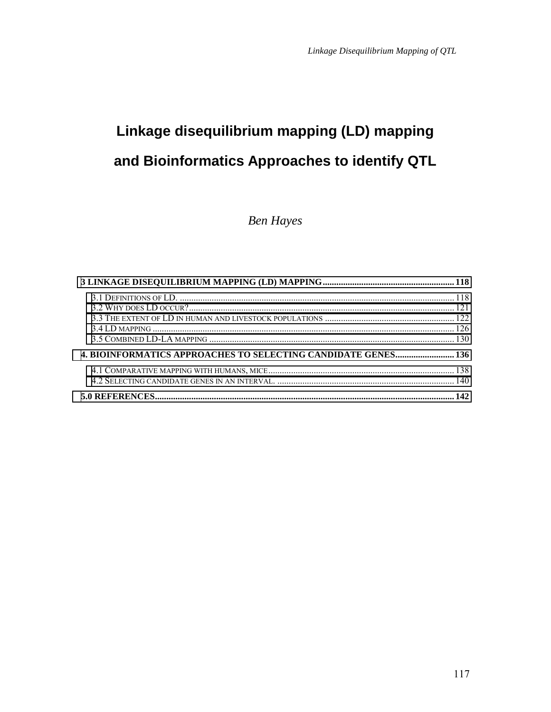# **Linkage disequilibrium mapping (LD) mapping and Bioinformatics Approaches to identify QTL**

*Ben Hayes* 

| <b>4. BIOINFORMATICS APPROACHES TO SELECTING CANDIDATE GENES 136</b> |  |
|----------------------------------------------------------------------|--|
|                                                                      |  |
|                                                                      |  |
|                                                                      |  |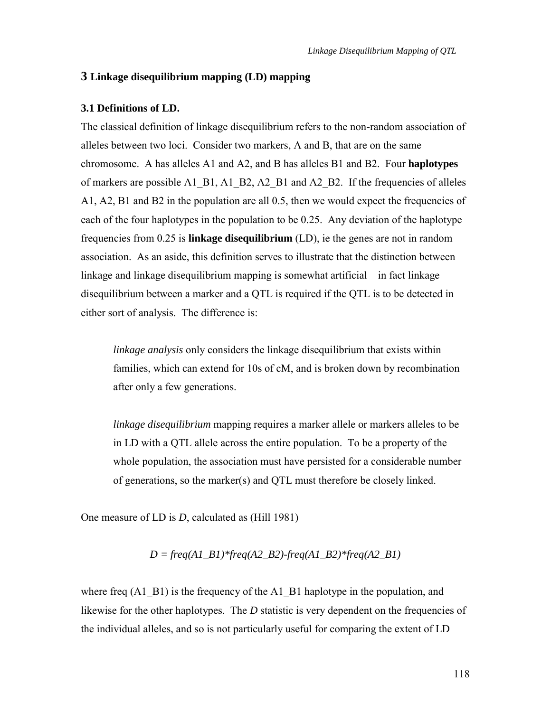#### <span id="page-1-0"></span>**3 Linkage disequilibrium mapping (LD) mapping**

#### **3.1 Definitions of LD.**

The classical definition of linkage disequilibrium refers to the non-random association of alleles between two loci. Consider two markers, A and B, that are on the same chromosome. A has alleles A1 and A2, and B has alleles B1 and B2. Four **haplotypes** of markers are possible A1\_B1, A1\_B2, A2\_B1 and A2\_B2. If the frequencies of alleles A1, A2, B1 and B2 in the population are all 0.5, then we would expect the frequencies of each of the four haplotypes in the population to be 0.25. Any deviation of the haplotype frequencies from 0.25 is **linkage disequilibrium** (LD), ie the genes are not in random association. As an aside, this definition serves to illustrate that the distinction between linkage and linkage disequilibrium mapping is somewhat artificial  $-$  in fact linkage disequilibrium between a marker and a QTL is required if the QTL is to be detected in either sort of analysis. The difference is:

*linkage analysis* only considers the linkage disequilibrium that exists within families, which can extend for 10s of cM, and is broken down by recombination after only a few generations.

*linkage disequilibrium* mapping requires a marker allele or markers alleles to be in LD with a QTL allele across the entire population. To be a property of the whole population, the association must have persisted for a considerable number of generations, so the marker(s) and QTL must therefore be closely linked.

One measure of LD is *D*, calculated as (Hill 1981)

$$
D = freq(A1\_B1)*freq(A2\_B2).freq(A1\_B2)*freq(A2\_B1)
$$

where freq  $(A1\ \text{B1})$  is the frequency of the A1  $\ \text{B1}$  haplotype in the population, and likewise for the other haplotypes. The *D* statistic is very dependent on the frequencies of the individual alleles, and so is not particularly useful for comparing the extent of LD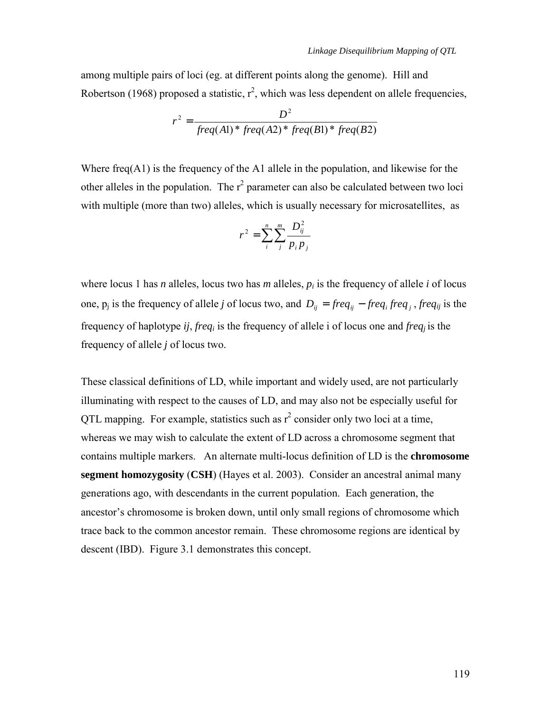among multiple pairs of loci (eg. at different points along the genome). Hill and Robertson (1968) proposed a statistic,  $r^2$ , which was less dependent on allele frequencies,

$$
r^{2} = \frac{D^{2}}{freq(A1)*freq(A2)*freq(B1)*freq(B2)}
$$

Where freq( $A1$ ) is the frequency of the A1 allele in the population, and likewise for the other alleles in the population. The  $r^2$  parameter can also be calculated between two loci with multiple (more than two) alleles, which is usually necessary for microsatellites, as

$$
r^{2} = \sum_{i}^{n} \sum_{j}^{m} \frac{D_{ij}^{2}}{p_{i} p_{j}}
$$

where locus 1 has *n* alleles, locus two has *m* alleles,  $p_i$  is the frequency of allele *i* of locus one,  $p_j$  is the frequency of allele *j* of locus two, and  $D_{ij} = freq_{ij} - freq_i freq_j$ , *freq<sub>ij</sub>* is the frequency of haplotype *ij*, *freqi* is the frequency of allele i of locus one and *freqj* is the frequency of allele *j* of locus two.

These classical definitions of LD, while important and widely used, are not particularly illuminating with respect to the causes of LD, and may also not be especially useful for QTL mapping. For example, statistics such as  $r^2$  consider only two loci at a time, whereas we may wish to calculate the extent of LD across a chromosome segment that contains multiple markers. An alternate multi-locus definition of LD is the **chromosome segment homozygosity** (**CSH**) (Hayes et al. 2003). Consider an ancestral animal many generations ago, with descendants in the current population. Each generation, the ancestor's chromosome is broken down, until only small regions of chromosome which trace back to the common ancestor remain. These chromosome regions are identical by descent (IBD). Figure 3.1 demonstrates this concept.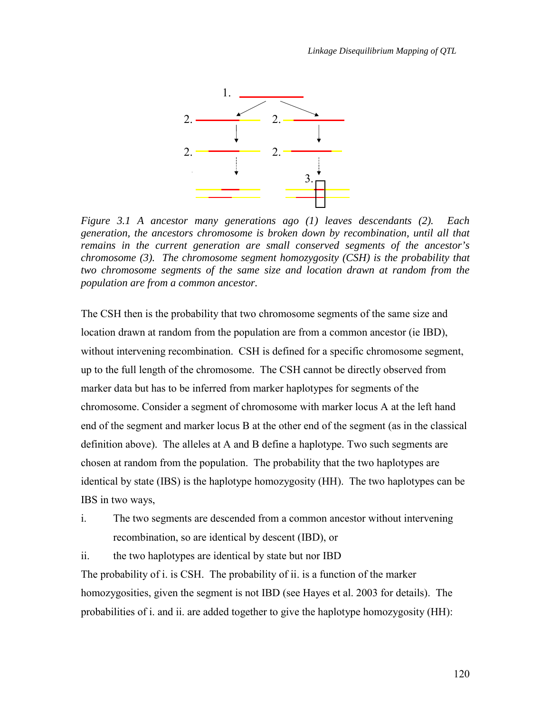

*Figure 3.1 A ancestor many generations ago (1) leaves descendants (2). Each generation, the ancestors chromosome is broken down by recombination, until all that remains in the current generation are small conserved segments of the ancestor's chromosome (3). The chromosome segment homozygosity (CSH) is the probability that two chromosome segments of the same size and location drawn at random from the population are from a common ancestor.* 

The CSH then is the probability that two chromosome segments of the same size and location drawn at random from the population are from a common ancestor (ie IBD), without intervening recombination. CSH is defined for a specific chromosome segment, up to the full length of the chromosome. The CSH cannot be directly observed from marker data but has to be inferred from marker haplotypes for segments of the chromosome. Consider a segment of chromosome with marker locus A at the left hand end of the segment and marker locus B at the other end of the segment (as in the classical definition above). The alleles at A and B define a haplotype. Two such segments are chosen at random from the population. The probability that the two haplotypes are identical by state (IBS) is the haplotype homozygosity (HH). The two haplotypes can be IBS in two ways,

i. The two segments are descended from a common ancestor without intervening recombination, so are identical by descent (IBD), or

ii. the two haplotypes are identical by state but nor IBD The probability of i. is CSH. The probability of ii. is a function of the marker homozygosities, given the segment is not IBD (see Hayes et al. 2003 for details). The probabilities of i. and ii. are added together to give the haplotype homozygosity (HH):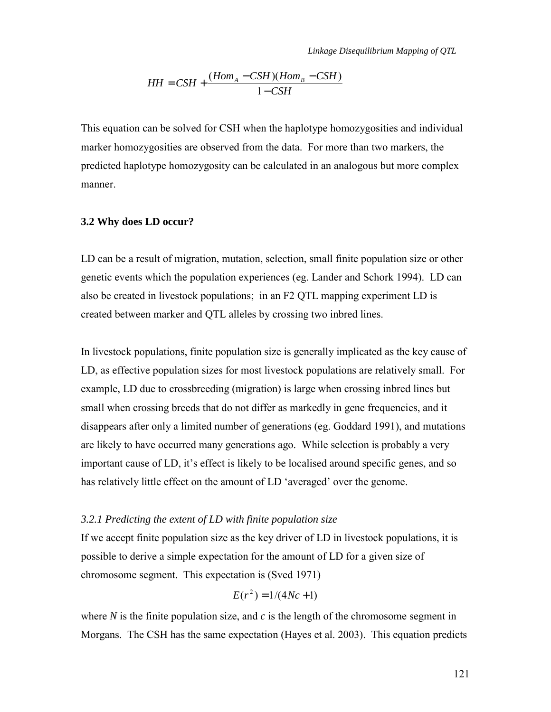$$
HH = CSH + \frac{(Hom_A - CSH)(Hom_B - CSH)}{1 - CSH}
$$

<span id="page-4-0"></span>This equation can be solved for CSH when the haplotype homozygosities and individual marker homozygosities are observed from the data. For more than two markers, the predicted haplotype homozygosity can be calculated in an analogous but more complex manner.

#### **3.2 Why does LD occur?**

LD can be a result of migration, mutation, selection, small finite population size or other genetic events which the population experiences (eg. Lander and Schork 1994). LD can also be created in livestock populations; in an F2 QTL mapping experiment LD is created between marker and QTL alleles by crossing two inbred lines.

In livestock populations, finite population size is generally implicated as the key cause of LD, as effective population sizes for most livestock populations are relatively small. For example, LD due to crossbreeding (migration) is large when crossing inbred lines but small when crossing breeds that do not differ as markedly in gene frequencies, and it disappears after only a limited number of generations (eg. Goddard 1991), and mutations are likely to have occurred many generations ago. While selection is probably a very important cause of LD, it's effect is likely to be localised around specific genes, and so has relatively little effect on the amount of LD 'averaged' over the genome.

#### *3.2.1 Predicting the extent of LD with finite population size*

If we accept finite population size as the key driver of LD in livestock populations, it is possible to derive a simple expectation for the amount of LD for a given size of chromosome segment. This expectation is (Sved 1971)

$$
E(r^2) = 1/(4Nc+1)
$$

where *N* is the finite population size, and *c* is the length of the chromosome segment in Morgans. The CSH has the same expectation (Hayes et al. 2003). This equation predicts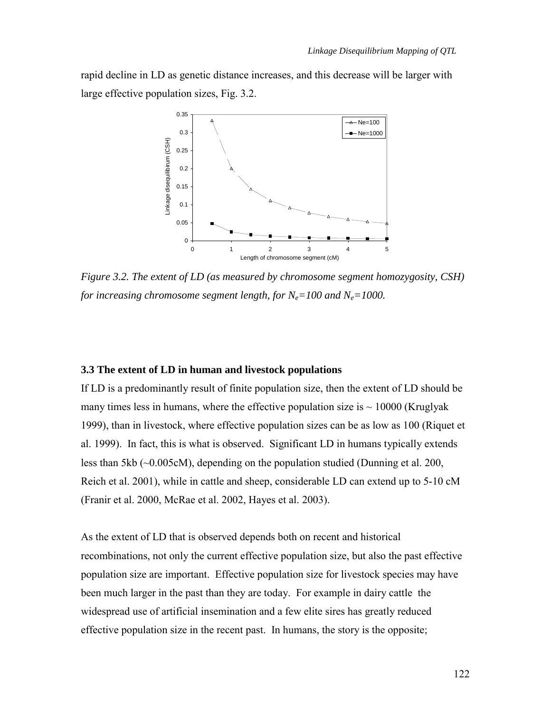<span id="page-5-0"></span>rapid decline in LD as genetic distance increases, and this decrease will be larger with large effective population sizes, Fig. 3.2.



*Figure 3.2. The extent of LD (as measured by chromosome segment homozygosity, CSH) for increasing chromosome segment length, for*  $N_e = 100$  and  $N_e = 1000$ .

# **3.3 The extent of LD in human and livestock populations**

If LD is a predominantly result of finite population size, then the extent of LD should be many times less in humans, where the effective population size is  $\sim 10000$  (Kruglyak 1999), than in livestock, where effective population sizes can be as low as 100 (Riquet et al. 1999). In fact, this is what is observed. Significant LD in humans typically extends less than 5kb (~0.005cM), depending on the population studied (Dunning et al. 200, Reich et al. 2001), while in cattle and sheep, considerable LD can extend up to 5-10 cM (Franir et al. 2000, McRae et al. 2002, Hayes et al. 2003).

As the extent of LD that is observed depends both on recent and historical recombinations, not only the current effective population size, but also the past effective population size are important. Effective population size for livestock species may have been much larger in the past than they are today. For example in dairy cattle the widespread use of artificial insemination and a few elite sires has greatly reduced effective population size in the recent past. In humans, the story is the opposite;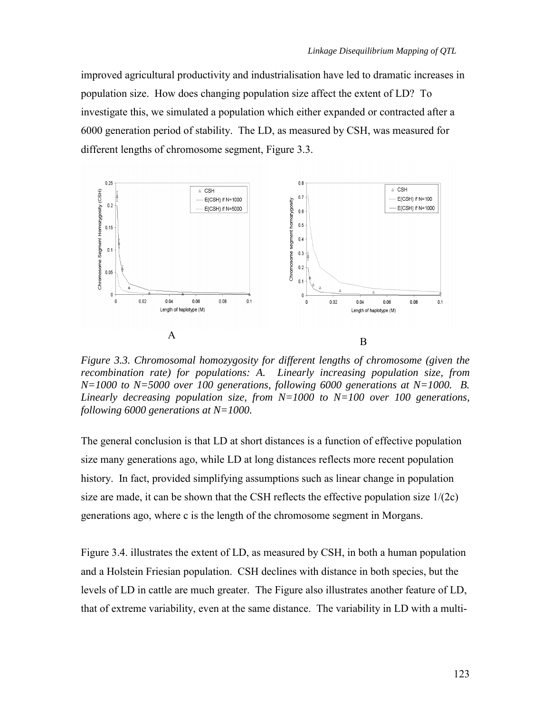improved agricultural productivity and industrialisation have led to dramatic increases in population size. How does changing population size affect the extent of LD? To investigate this, we simulated a population which either expanded or contracted after a 6000 generation period of stability. The LD, as measured by CSH, was measured for different lengths of chromosome segment, Figure 3.3.



*Figure 3.3. Chromosomal homozygosity for different lengths of chromosome (given the recombination rate) for populations: A. Linearly increasing population size, from*   $N=1000$  to  $N=5000$  over 100 generations, following 6000 generations at  $N=1000$ . B. *Linearly decreasing population size, from N=1000 to N=100 over 100 generations, following 6000 generations at N=1000.* 

The general conclusion is that LD at short distances is a function of effective population size many generations ago, while LD at long distances reflects more recent population history. In fact, provided simplifying assumptions such as linear change in population size are made, it can be shown that the CSH reflects the effective population size  $1/(2c)$ generations ago, where c is the length of the chromosome segment in Morgans.

Figure 3.4. illustrates the extent of LD, as measured by CSH, in both a human population and a Holstein Friesian population. CSH declines with distance in both species, but the levels of LD in cattle are much greater. The Figure also illustrates another feature of LD, that of extreme variability, even at the same distance. The variability in LD with a multi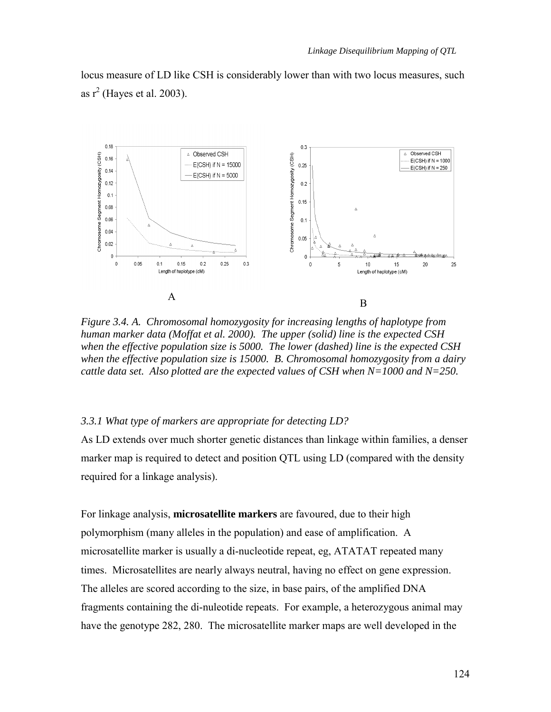locus measure of LD like CSH is considerably lower than with two locus measures, such as  $r^2$  (Hayes et al. 2003).



*Figure 3.4. A. Chromosomal homozygosity for increasing lengths of haplotype from human marker data (Moffat et al. 2000). The upper (solid) line is the expected CSH when the effective population size is 5000. The lower (dashed) line is the expected CSH when the effective population size is 15000. B. Chromosomal homozygosity from a dairy cattle data set. Also plotted are the expected values of CSH when N=1000 and N=250.* 

# *3.3.1 What type of markers are appropriate for detecting LD?*

As LD extends over much shorter genetic distances than linkage within families, a denser marker map is required to detect and position QTL using LD (compared with the density required for a linkage analysis).

For linkage analysis, **microsatellite markers** are favoured, due to their high polymorphism (many alleles in the population) and ease of amplification. A microsatellite marker is usually a di-nucleotide repeat, eg, ATATAT repeated many times. Microsatellites are nearly always neutral, having no effect on gene expression. The alleles are scored according to the size, in base pairs, of the amplified DNA fragments containing the di-nuleotide repeats. For example, a heterozygous animal may have the genotype 282, 280. The microsatellite marker maps are well developed in the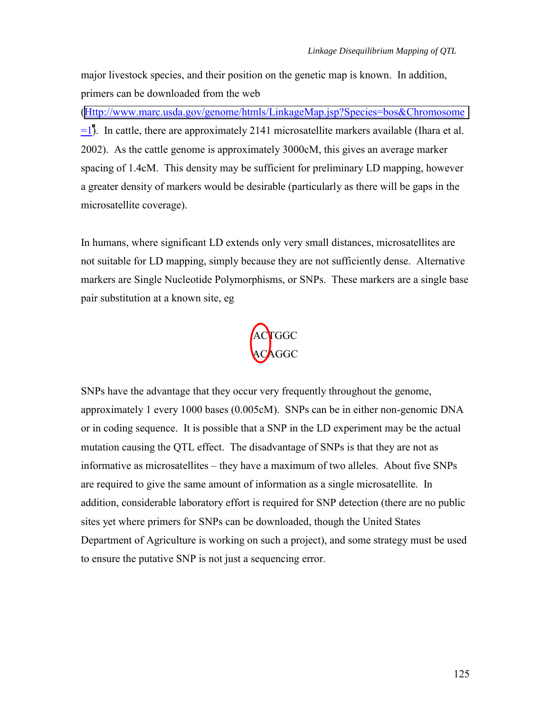major livestock species, and their position on the genetic map is known. In addition, primers can be downloaded from the web

([Http://www.marc.usda.gov/genome/htmls/LinkageMap.jsp?Species=bos&Chromosome](http://www.marc.usda.gov/genome/htmls/LinkageMap.jsp?Species=bos&Chromosome=1) =1[\)](http://www.marc.usda.gov/genome/htmls/LinkageMap.jsp?Species=bos&Chromosome=1). In cattle, there are approximately 2141 microsatellite markers available (Ihara et al. 2002). As the cattle genome is approximately 3000cM, this gives an average marker spacing of 1.4cM. This density may be sufficient for preliminary LD mapping, however a greater density of markers would be desirable (particularly as there will be gaps in the microsatellite coverage).

In humans, where significant LD extends only very small distances, microsatellites are not suitable for LD mapping, simply because they are not sufficiently dense. Alternative markers are Single Nucleotide Polymorphisms, or SNPs. These markers are a single base pair substitution at a known site, eg



SNPs have the advantage that they occur very frequently throughout the genome, approximately 1 every 1000 bases (0.005cM). SNPs can be in either non-genomic DNA or in coding sequence. It is possible that a SNP in the LD experiment may be the actual mutation causing the QTL effect. The disadvantage of SNPs is that they are not as informative as microsatellites – they have a maximum of two alleles. About five SNPs are required to give the same amount of information as a single microsatellite. In addition, considerable laboratory effort is required for SNP detection (there are no public sites yet where primers for SNPs can be downloaded, though the United States Department of Agriculture is working on such a project), and some strategy must be used to ensure the putative SNP is not just a sequencing error.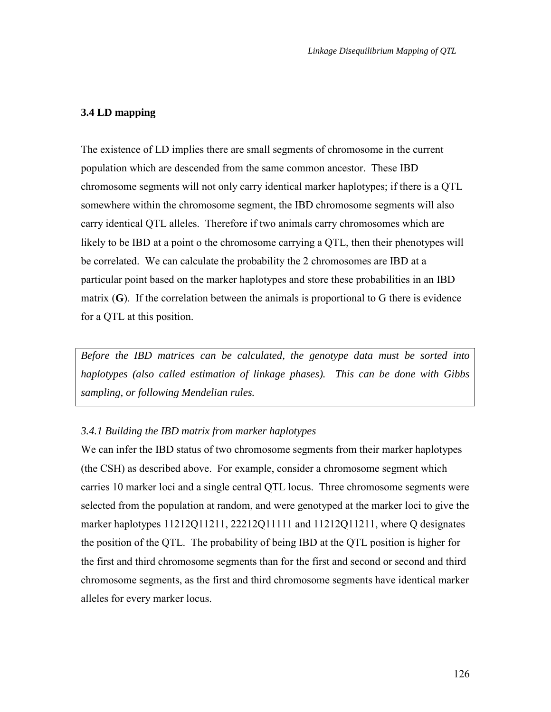## <span id="page-9-0"></span>**3.4 LD mapping**

The existence of LD implies there are small segments of chromosome in the current population which are descended from the same common ancestor. These IBD chromosome segments will not only carry identical marker haplotypes; if there is a QTL somewhere within the chromosome segment, the IBD chromosome segments will also carry identical QTL alleles. Therefore if two animals carry chromosomes which are likely to be IBD at a point o the chromosome carrying a QTL, then their phenotypes will be correlated. We can calculate the probability the 2 chromosomes are IBD at a particular point based on the marker haplotypes and store these probabilities in an IBD matrix (**G**). If the correlation between the animals is proportional to G there is evidence for a QTL at this position.

*Before the IBD matrices can be calculated, the genotype data must be sorted into haplotypes (also called estimation of linkage phases). This can be done with Gibbs sampling, or following Mendelian rules.* 

#### *3.4.1 Building the IBD matrix from marker haplotypes*

We can infer the IBD status of two chromosome segments from their marker haplotypes (the CSH) as described above. For example, consider a chromosome segment which carries 10 marker loci and a single central QTL locus. Three chromosome segments were selected from the population at random, and were genotyped at the marker loci to give the marker haplotypes 11212Q11211, 22212Q11111 and 11212Q11211, where Q designates the position of the QTL. The probability of being IBD at the QTL position is higher for the first and third chromosome segments than for the first and second or second and third chromosome segments, as the first and third chromosome segments have identical marker alleles for every marker locus.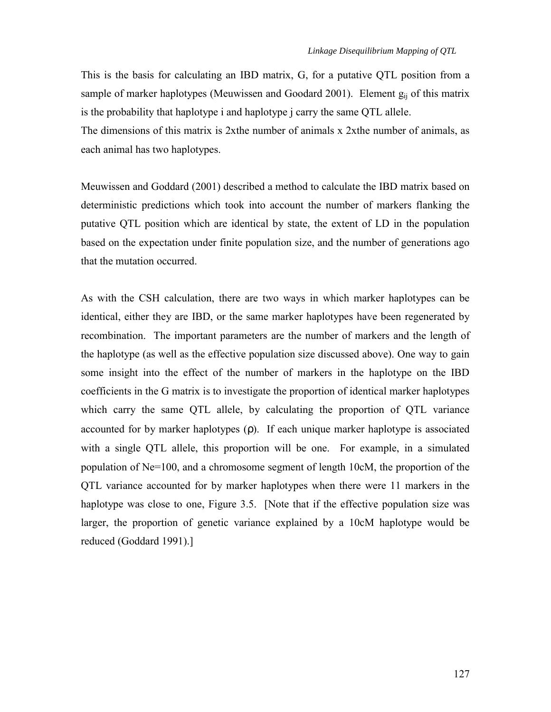This is the basis for calculating an IBD matrix, G, for a putative QTL position from a sample of marker haplotypes (Meuwissen and Goodard 2001). Element  $g_{ii}$  of this matrix is the probability that haplotype i and haplotype j carry the same QTL allele.

The dimensions of this matrix is 2xthe number of animals x 2xthe number of animals, as each animal has two haplotypes.

Meuwissen and Goddard (2001) described a method to calculate the IBD matrix based on deterministic predictions which took into account the number of markers flanking the putative QTL position which are identical by state, the extent of LD in the population based on the expectation under finite population size, and the number of generations ago that the mutation occurred.

As with the CSH calculation, there are two ways in which marker haplotypes can be identical, either they are IBD, or the same marker haplotypes have been regenerated by recombination. The important parameters are the number of markers and the length of the haplotype (as well as the effective population size discussed above). One way to gain some insight into the effect of the number of markers in the haplotype on the IBD coefficients in the G matrix is to investigate the proportion of identical marker haplotypes which carry the same QTL allele, by calculating the proportion of QTL variance accounted for by marker haplotypes (ρ). If each unique marker haplotype is associated with a single QTL allele, this proportion will be one. For example, in a simulated population of Ne=100, and a chromosome segment of length 10cM, the proportion of the QTL variance accounted for by marker haplotypes when there were 11 markers in the haplotype was close to one, Figure 3.5. [Note that if the effective population size was larger, the proportion of genetic variance explained by a 10cM haplotype would be reduced (Goddard 1991).]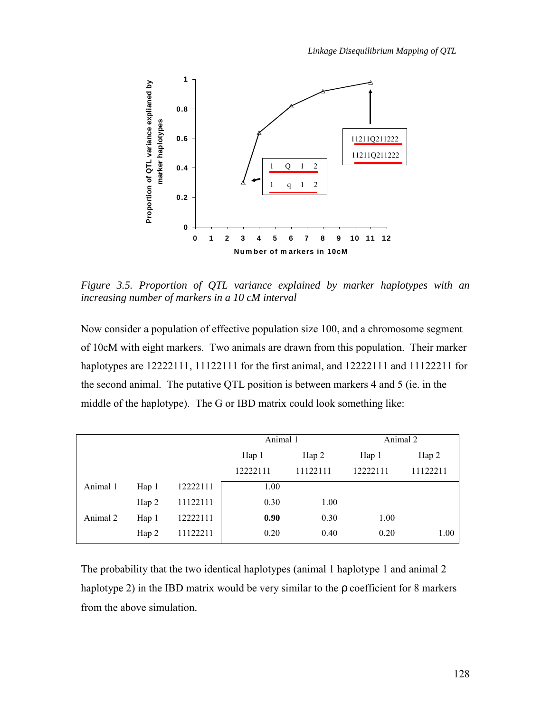

*Figure 3.5. Proportion of QTL variance explained by marker haplotypes with an increasing number of markers in a 10 cM interval* 

Now consider a population of effective population size 100, and a chromosome segment of 10cM with eight markers. Two animals are drawn from this population. Their marker haplotypes are 12222111, 11122111 for the first animal, and 12222111 and 11122211 for the second animal. The putative QTL position is between markers 4 and 5 (ie. in the middle of the haplotype). The G or IBD matrix could look something like:

|          |       |          | Animal 1 |          | Animal 2 |          |
|----------|-------|----------|----------|----------|----------|----------|
|          |       |          | Hap 1    | Hap 2    | Hap 1    | Hap 2    |
|          |       |          | 12222111 | 11122111 | 12222111 | 11122211 |
| Animal 1 | Hap 1 | 12222111 | 1.00     |          |          |          |
|          | Hap 2 | 11122111 | 0.30     | 1.00     |          |          |
| Animal 2 | Hap 1 | 12222111 | 0.90     | 0.30     | 1.00     |          |
|          | Hap 2 | 11122211 | 0.20     | 0.40     | 0.20     | 1.00     |

The probability that the two identical haplotypes (animal 1 haplotype 1 and animal 2 haplotype 2) in the IBD matrix would be very similar to the  $\rho$  coefficient for 8 markers from the above simulation.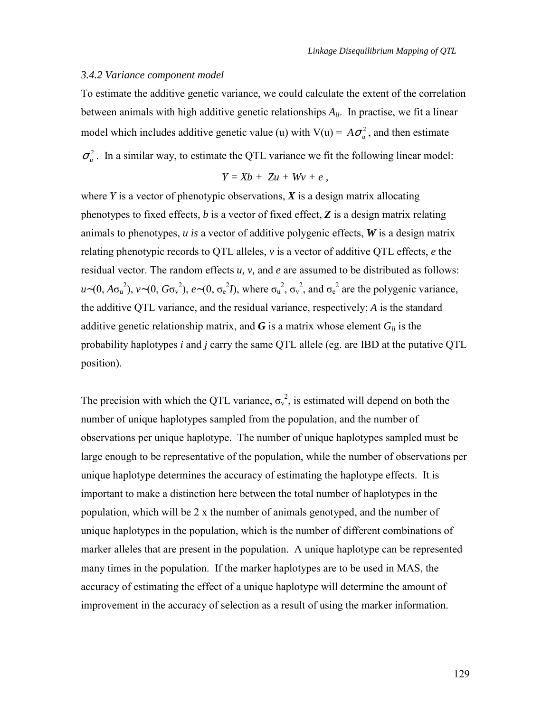#### *3.4.2 Variance component model*

To estimate the additive genetic variance, we could calculate the extent of the correlation between animals with high additive genetic relationships  $A_{ij}$ . In practise, we fit a linear model which includes additive genetic value (u) with  $V(u) = A\sigma_u^2$ , and then estimate  $\sigma_u^2$ . In a similar way, to estimate the QTL variance we fit the following linear model:

$$
Y = Xb + Zu + Wv + e,
$$

where  $Y$  is a vector of phenotypic observations,  $X$  is a design matrix allocating phenotypes to fixed effects, *b* is a vector of fixed effect, *Z* is a design matrix relating animals to phenotypes, *u is* a vector of additive polygenic effects, *W* is a design matrix relating phenotypic records to QTL alleles, *v* is a vector of additive QTL effects, *e* the residual vector. The random effects *u, v,* and *e* are assumed to be distributed as follows:  $u \sim (0, A\sigma_u^2)$ ,  $v \sim (0, G\sigma_v^2)$ ,  $e \sim (0, \sigma_e^2 I)$ , where  $\sigma_u^2$ ,  $\sigma_v^2$ , and  $\sigma_e^2$  are the polygenic variance, the additive QTL variance, and the residual variance, respectively; *A* is the standard additive genetic relationship matrix, and  $\boldsymbol{G}$  is a matrix whose element  $G_{ij}$  is the probability haplotypes *i* and *j* carry the same QTL allele (eg. are IBD at the putative QTL position).

The precision with which the QTL variance,  $\sigma_v^2$ , is estimated will depend on both the number of unique haplotypes sampled from the population, and the number of observations per unique haplotype. The number of unique haplotypes sampled must be large enough to be representative of the population, while the number of observations per unique haplotype determines the accuracy of estimating the haplotype effects. It is important to make a distinction here between the total number of haplotypes in the population, which will be 2 x the number of animals genotyped, and the number of unique haplotypes in the population, which is the number of different combinations of marker alleles that are present in the population. A unique haplotype can be represented many times in the population. If the marker haplotypes are to be used in MAS, the accuracy of estimating the effect of a unique haplotype will determine the amount of improvement in the accuracy of selection as a result of using the marker information.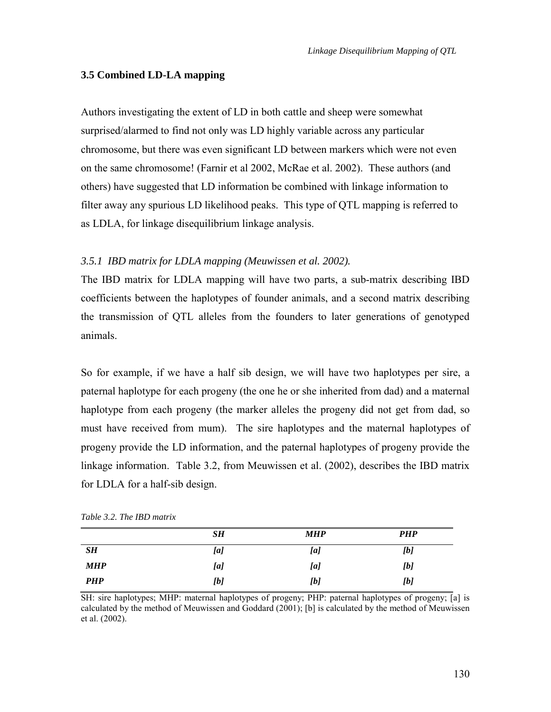# <span id="page-13-0"></span>**3.5 Combined LD-LA mapping**

Authors investigating the extent of LD in both cattle and sheep were somewhat surprised/alarmed to find not only was LD highly variable across any particular chromosome, but there was even significant LD between markers which were not even on the same chromosome! (Farnir et al 2002, McRae et al. 2002). These authors (and others) have suggested that LD information be combined with linkage information to filter away any spurious LD likelihood peaks. This type of QTL mapping is referred to as LDLA, for linkage disequilibrium linkage analysis.

# *3.5.1 IBD matrix for LDLA mapping (Meuwissen et al. 2002).*

The IBD matrix for LDLA mapping will have two parts, a sub-matrix describing IBD coefficients between the haplotypes of founder animals, and a second matrix describing the transmission of QTL alleles from the founders to later generations of genotyped animals.

So for example, if we have a half sib design, we will have two haplotypes per sire, a paternal haplotype for each progeny (the one he or she inherited from dad) and a maternal haplotype from each progeny (the marker alleles the progeny did not get from dad, so must have received from mum). The sire haplotypes and the maternal haplotypes of progeny provide the LD information, and the paternal haplotypes of progeny provide the linkage information. Table 3.2, from Meuwissen et al. (2002), describes the IBD matrix for LDLA for a half-sib design.

|            | SН  | <b>MHP</b> | <b>PHP</b> |
|------------|-----|------------|------------|
| SH         | [a] | [a]        | [b]        |
| <b>MHP</b> | [a] | [a]        | [b]        |
| <b>PHP</b> | [b] | [b]        | [b]        |

*Table 3.2. The IBD matrix* 

SH: sire haplotypes; MHP: maternal haplotypes of progeny; PHP: paternal haplotypes of progeny; [a] is calculated by the method of Meuwissen and Goddard (2001); [b] is calculated by the method of Meuwissen et al. (2002).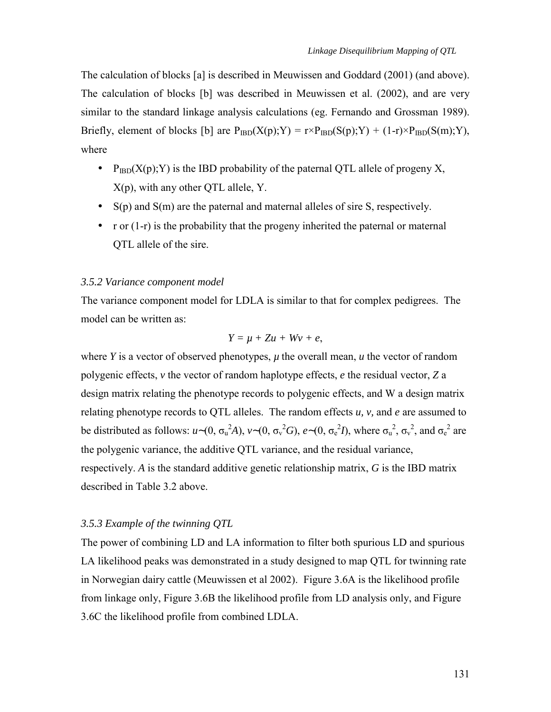The calculation of blocks [a] is described in Meuwissen and Goddard (2001) (and above). The calculation of blocks [b] was described in Meuwissen et al. (2002), and are very similar to the standard linkage analysis calculations (eg. Fernando and Grossman 1989). Briefly, element of blocks [b] are  $P_{IBD}(X(p);Y) = r \times P_{IBD}(S(p);Y) + (1-r) \times P_{IBD}(S(m);Y)$ , where

- $P_{IBD}(X(p); Y)$  is the IBD probability of the paternal OTL allele of progeny X, X(p), with any other QTL allele, Y.
- $S(p)$  and  $S(m)$  are the paternal and maternal alleles of sire S, respectively.
- r or  $(1-r)$  is the probability that the progeny inherited the paternal or maternal QTL allele of the sire.

#### *3.5.2 Variance component model*

The variance component model for LDLA is similar to that for complex pedigrees. The model can be written as:

$$
Y=\mu+Zu+Wv+e,
$$

where *Y* is a vector of observed phenotypes,  $\mu$  the overall mean,  $\mu$  the vector of random polygenic effects, *v* the vector of random haplotype effects, *e* the residual vector, *Z* a design matrix relating the phenotype records to polygenic effects, and W a design matrix relating phenotype records to QTL alleles. The random effects *u, v,* and *e* are assumed to be distributed as follows:  $u \sim (0, \sigma_u^2 A)$ ,  $v \sim (0, \sigma_v^2 G)$ ,  $e \sim (0, \sigma_e^2 I)$ , where  $\sigma_u^2$ ,  $\sigma_v^2$ , and  $\sigma_e^2$  are the polygenic variance, the additive QTL variance, and the residual variance, respectively. *A* is the standard additive genetic relationship matrix, *G* is the IBD matrix described in Table 3.2 above.

## *3.5.3 Example of the twinning QTL*

The power of combining LD and LA information to filter both spurious LD and spurious LA likelihood peaks was demonstrated in a study designed to map QTL for twinning rate in Norwegian dairy cattle (Meuwissen et al 2002). Figure 3.6A is the likelihood profile from linkage only, Figure 3.6B the likelihood profile from LD analysis only, and Figure 3.6C the likelihood profile from combined LDLA.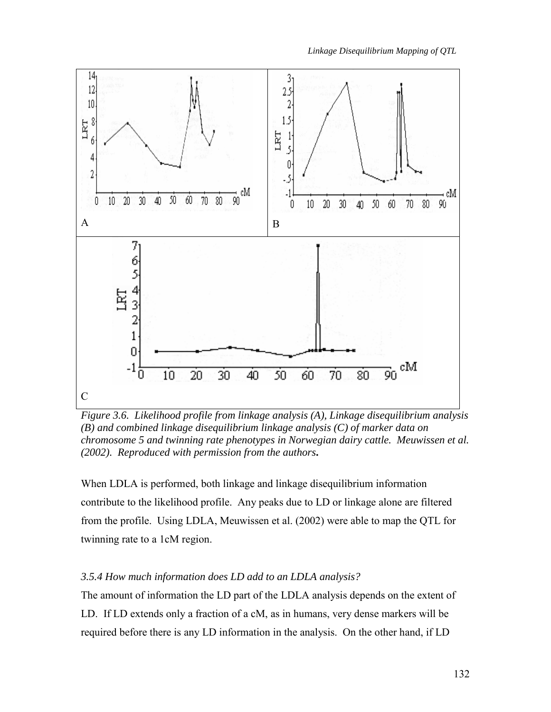

*Figure 3.6. Likelihood profile from linkage analysis (A), Linkage disequilibrium analysis (B) and combined linkage disequilibrium linkage analysis (C) of marker data on chromosome 5 and twinning rate phenotypes in Norwegian dairy cattle. Meuwissen et al. (2002). Reproduced with permission from the authors***.** 

When LDLA is performed, both linkage and linkage disequilibrium information contribute to the likelihood profile. Any peaks due to LD or linkage alone are filtered from the profile. Using LDLA, Meuwissen et al. (2002) were able to map the QTL for twinning rate to a 1cM region.

# *3.5.4 How much information does LD add to an LDLA analysis?*

The amount of information the LD part of the LDLA analysis depends on the extent of LD. If LD extends only a fraction of a cM, as in humans, very dense markers will be required before there is any LD information in the analysis. On the other hand, if LD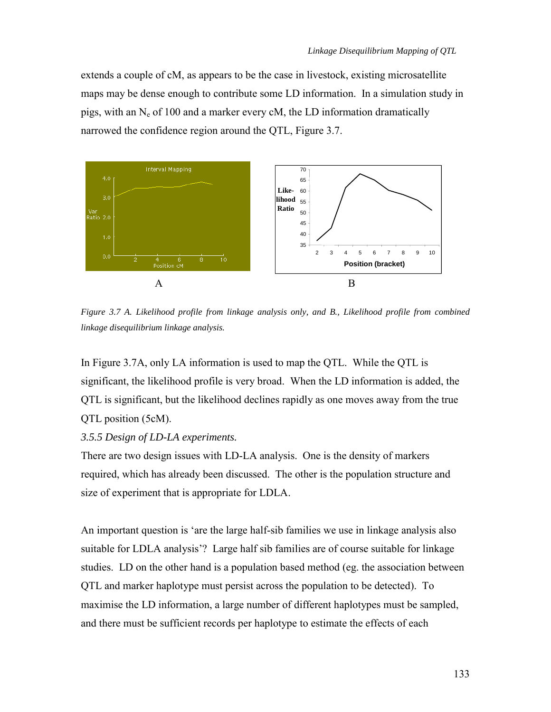extends a couple of cM, as appears to be the case in livestock, existing microsatellite maps may be dense enough to contribute some LD information. In a simulation study in pigs, with an  $N_e$  of 100 and a marker every cM, the LD information dramatically narrowed the confidence region around the QTL, Figure 3.7.



*Figure 3.7 A. Likelihood profile from linkage analysis only, and B., Likelihood profile from combined linkage disequilibrium linkage analysis.* 

In Figure 3.7A, only LA information is used to map the QTL. While the QTL is significant, the likelihood profile is very broad. When the LD information is added, the QTL is significant, but the likelihood declines rapidly as one moves away from the true QTL position (5cM).

# *3.5.5 Design of LD-LA experiments.*

There are two design issues with LD-LA analysis. One is the density of markers required, which has already been discussed. The other is the population structure and size of experiment that is appropriate for LDLA.

An important question is ëare the large half-sib families we use in linkage analysis also suitable for LDLA analysis'? Large half sib families are of course suitable for linkage studies. LD on the other hand is a population based method (eg. the association between QTL and marker haplotype must persist across the population to be detected). To maximise the LD information, a large number of different haplotypes must be sampled, and there must be sufficient records per haplotype to estimate the effects of each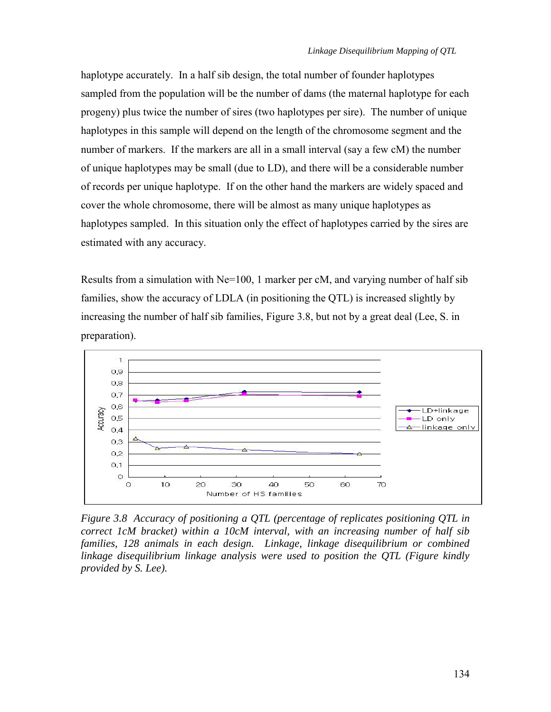haplotype accurately. In a half sib design, the total number of founder haplotypes sampled from the population will be the number of dams (the maternal haplotype for each progeny) plus twice the number of sires (two haplotypes per sire). The number of unique haplotypes in this sample will depend on the length of the chromosome segment and the number of markers. If the markers are all in a small interval (say a few cM) the number of unique haplotypes may be small (due to LD), and there will be a considerable number of records per unique haplotype. If on the other hand the markers are widely spaced and cover the whole chromosome, there will be almost as many unique haplotypes as haplotypes sampled. In this situation only the effect of haplotypes carried by the sires are estimated with any accuracy.

Results from a simulation with Ne=100, 1 marker per cM, and varying number of half sib families, show the accuracy of LDLA (in positioning the QTL) is increased slightly by increasing the number of half sib families, Figure 3.8, but not by a great deal (Lee, S. in preparation).



*Figure 3.8 Accuracy of positioning a QTL (percentage of replicates positioning QTL in correct 1cM bracket) within a 10cM interval, with an increasing number of half sib families, 128 animals in each design. Linkage, linkage disequilibrium or combined linkage disequilibrium linkage analysis were used to position the QTL (Figure kindly provided by S. Lee).*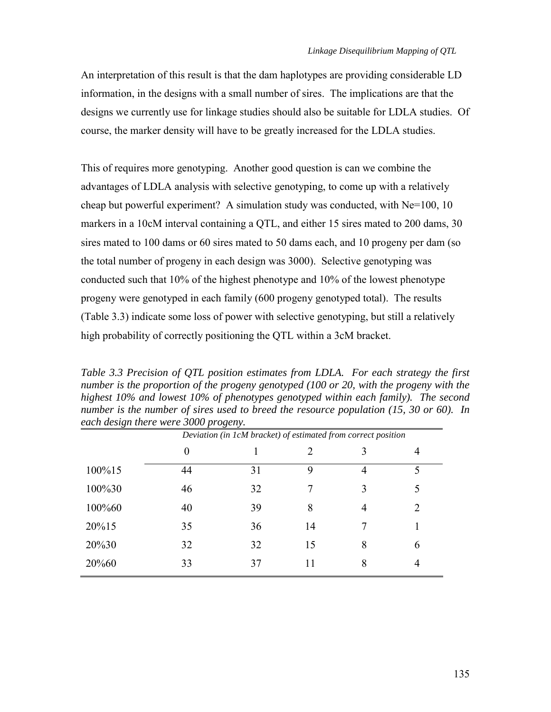An interpretation of this result is that the dam haplotypes are providing considerable LD information, in the designs with a small number of sires. The implications are that the designs we currently use for linkage studies should also be suitable for LDLA studies. Of course, the marker density will have to be greatly increased for the LDLA studies.

This of requires more genotyping. Another good question is can we combine the advantages of LDLA analysis with selective genotyping, to come up with a relatively cheap but powerful experiment? A simulation study was conducted, with  $Ne=100$ , 10 markers in a 10cM interval containing a QTL, and either 15 sires mated to 200 dams, 30 sires mated to 100 dams or 60 sires mated to 50 dams each, and 10 progeny per dam (so the total number of progeny in each design was 3000). Selective genotyping was conducted such that 10% of the highest phenotype and 10% of the lowest phenotype progeny were genotyped in each family (600 progeny genotyped total). The results (Table 3.3) indicate some loss of power with selective genotyping, but still a relatively high probability of correctly positioning the QTL within a 3cM bracket.

*Table 3.3 Precision of QTL position estimates from LDLA. For each strategy the first number is the proportion of the progeny genotyped (100 or 20, with the progeny with the highest 10% and lowest 10% of phenotypes genotyped within each family). The second number is the number of sires used to breed the resource population (15, 30 or 60). In each design there were 3000 progeny.* 

|        | Deviation (in 1cM bracket) of estimated from correct position |    |    |   |   |
|--------|---------------------------------------------------------------|----|----|---|---|
|        | $\theta$                                                      |    |    | 3 | 4 |
| 100%15 | 44                                                            | 31 | 9  | 4 | 5 |
| 100%30 | 46                                                            | 32 |    | 3 | 5 |
| 100%60 | 40                                                            | 39 | 8  | 4 | 2 |
| 20%15  | 35                                                            | 36 | 14 | 7 |   |
| 20%30  | 32                                                            | 32 | 15 | 8 | 6 |
| 20%60  | 33                                                            | 37 |    | 8 | 4 |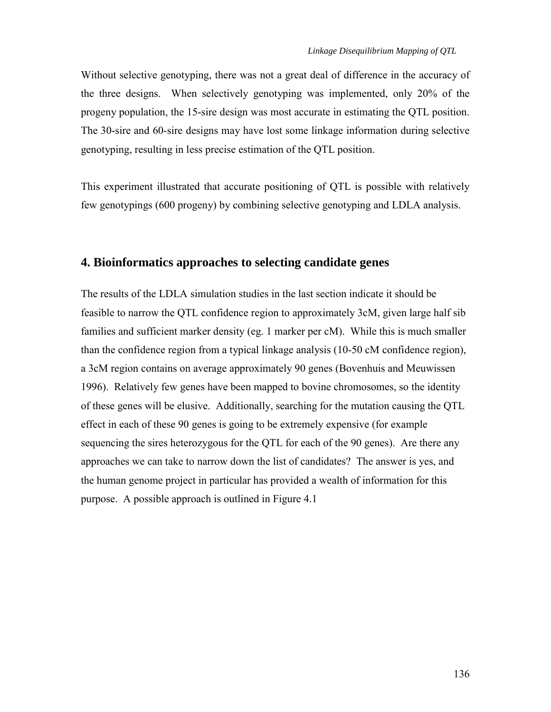<span id="page-19-0"></span>Without selective genotyping, there was not a great deal of difference in the accuracy of the three designs. When selectively genotyping was implemented, only 20% of the progeny population, the 15-sire design was most accurate in estimating the QTL position. The 30-sire and 60-sire designs may have lost some linkage information during selective genotyping, resulting in less precise estimation of the QTL position.

This experiment illustrated that accurate positioning of QTL is possible with relatively few genotypings (600 progeny) by combining selective genotyping and LDLA analysis.

# **4. Bioinformatics approaches to selecting candidate genes**

The results of the LDLA simulation studies in the last section indicate it should be feasible to narrow the QTL confidence region to approximately 3cM, given large half sib families and sufficient marker density (eg. 1 marker per cM). While this is much smaller than the confidence region from a typical linkage analysis (10-50 cM confidence region), a 3cM region contains on average approximately 90 genes (Bovenhuis and Meuwissen 1996). Relatively few genes have been mapped to bovine chromosomes, so the identity of these genes will be elusive. Additionally, searching for the mutation causing the QTL effect in each of these 90 genes is going to be extremely expensive (for example sequencing the sires heterozygous for the QTL for each of the 90 genes). Are there any approaches we can take to narrow down the list of candidates? The answer is yes, and the human genome project in particular has provided a wealth of information for this purpose. A possible approach is outlined in Figure 4.1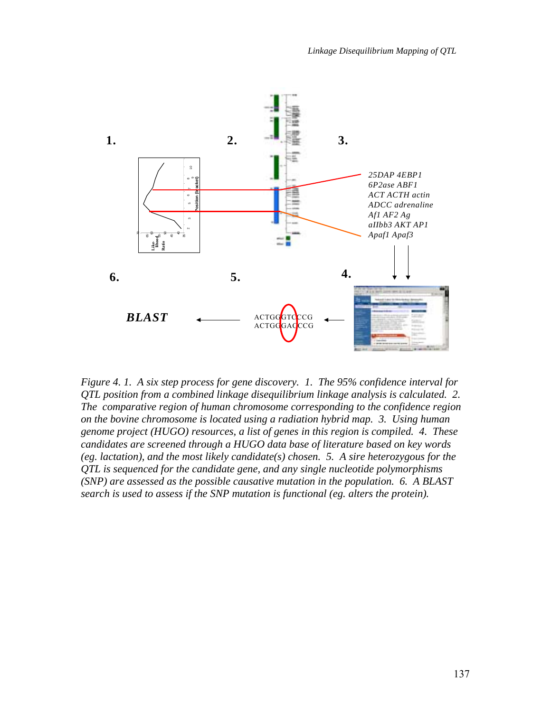

*Figure 4. 1. A six step process for gene discovery. 1. The 95% confidence interval for QTL position from a combined linkage disequilibrium linkage analysis is calculated. 2. The comparative region of human chromosome corresponding to the confidence region on the bovine chromosome is located using a radiation hybrid map. 3. Using human genome project (HUGO) resources, a list of genes in this region is compiled. 4. These candidates are screened through a HUGO data base of literature based on key words (eg. lactation), and the most likely candidate(s) chosen. 5. A sire heterozygous for the QTL is sequenced for the candidate gene, and any single nucleotide polymorphisms (SNP) are assessed as the possible causative mutation in the population. 6. A BLAST search is used to assess if the SNP mutation is functional (eg. alters the protein).*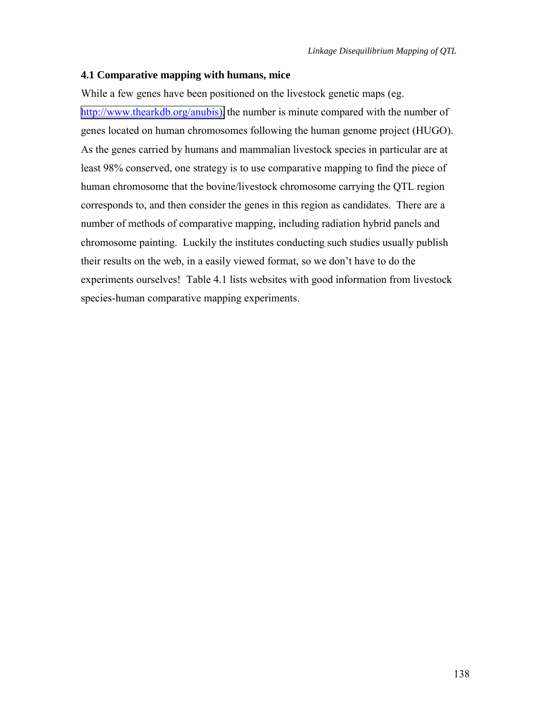#### <span id="page-21-0"></span>**4.1 Comparative mapping with humans, mice**

While a few genes have been positioned on the livestock genetic maps (eg. [http://www.thearkdb.org/anubis\),](http://www.thearkdb.org/anubis)) the number is minute compared with the number of genes located on human chromosomes following the human genome project (HUGO). As the genes carried by humans and mammalian livestock species in particular are at least 98% conserved, one strategy is to use comparative mapping to find the piece of human chromosome that the bovine/livestock chromosome carrying the QTL region corresponds to, and then consider the genes in this region as candidates. There are a number of methods of comparative mapping, including radiation hybrid panels and chromosome painting. Luckily the institutes conducting such studies usually publish their results on the web, in a easily viewed format, so we don't have to do the experiments ourselves! Table 4.1 lists websites with good information from livestock species-human comparative mapping experiments.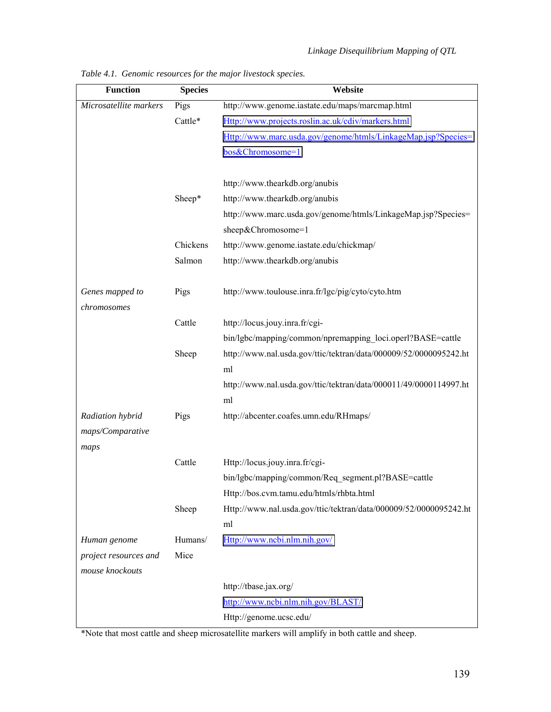| <b>Function</b>        | <b>Species</b> | Website                                                           |
|------------------------|----------------|-------------------------------------------------------------------|
| Microsatellite markers | Pigs           | http://www.genome.iastate.edu/maps/marcmap.html                   |
|                        | Cattle*        | Http://www.projects.roslin.ac.uk/cdiv/markers.html                |
|                        |                | Http://www.marc.usda.gov/genome/htmls/LinkageMap.jsp?Species=     |
|                        |                | bos&Chromosome=1                                                  |
|                        |                |                                                                   |
|                        |                | http://www.thearkdb.org/anubis                                    |
|                        | Sheep*         | http://www.thearkdb.org/anubis                                    |
|                        |                | http://www.marc.usda.gov/genome/htmls/LinkageMap.jsp?Species=     |
|                        |                | sheep&Chromosome=1                                                |
|                        | Chickens       | http://www.genome.iastate.edu/chickmap/                           |
|                        | Salmon         | http://www.thearkdb.org/anubis                                    |
|                        |                |                                                                   |
| Genes mapped to        | Pigs           | http://www.toulouse.inra.fr/lgc/pig/cyto/cyto.htm                 |
| chromosomes            |                |                                                                   |
|                        | Cattle         | http://locus.jouy.inra.fr/cgi-                                    |
|                        |                | bin/lgbc/mapping/common/npremapping_loci.operl?BASE=cattle        |
|                        | Sheep          | http://www.nal.usda.gov/ttic/tektran/data/000009/52/0000095242.ht |
|                        |                | ml                                                                |
|                        |                | http://www.nal.usda.gov/ttic/tektran/data/000011/49/0000114997.ht |
|                        |                | ml                                                                |
| Radiation hybrid       | Pigs           | http://abcenter.coafes.umn.edu/RHmaps/                            |
| maps/Comparative       |                |                                                                   |
| maps                   |                |                                                                   |
|                        | Cattle         | Http://locus.jouy.inra.fr/cgi-                                    |
|                        |                | bin/lgbc/mapping/common/Req_segment.pl?BASE=cattle                |
|                        |                | Http://bos.cvm.tamu.edu/htmls/rhbta.html                          |
|                        | Sheep          | Http://www.nal.usda.gov/ttic/tektran/data/000009/52/0000095242.ht |
|                        |                | ml                                                                |
| Human genome           | Humans/        | Http://www.ncbi.nlm.nih.gov/                                      |
| project resources and  | Mice           |                                                                   |
| mouse knockouts        |                |                                                                   |
|                        |                | http://tbase.jax.org/<br>http://www.ncbi.nlm.nih.gov/BLAST/       |
|                        |                |                                                                   |
|                        |                | Http://genome.ucsc.edu/                                           |

*Table 4.1. Genomic resources for the major livestock species.* 

\*Note that most cattle and sheep microsatellite markers will amplify in both cattle and sheep.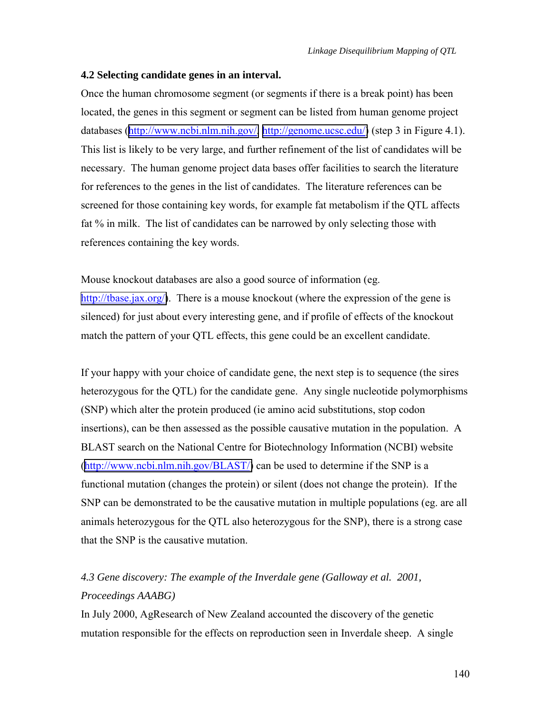#### <span id="page-23-0"></span>**4.2 Selecting candidate genes in an interval.**

Once the human chromosome segment (or segments if there is a break point) has been located, the genes in this segment or segment can be listed from human genome project databases ([http://www.ncbi.nlm.nih.gov/,](http://www.ncbi.nlm.nih.gov/) [http://genome.ucsc.edu/\)](http://genome.ucsc.edu/) (step 3 in Figure 4.1). This list is likely to be very large, and further refinement of the list of candidates will be necessary. The human genome project data bases offer facilities to search the literature for references to the genes in the list of candidates. The literature references can be screened for those containing key words, for example fat metabolism if the QTL affects fat % in milk. The list of candidates can be narrowed by only selecting those with references containing the key words.

Mouse knockout databases are also a good source of information (eg. [http://tbase.jax.org/\)](http://tbase.jax.org/). There is a mouse knockout (where the expression of the gene is silenced) for just about every interesting gene, and if profile of effects of the knockout match the pattern of your QTL effects, this gene could be an excellent candidate.

If your happy with your choice of candidate gene, the next step is to sequence (the sires heterozygous for the QTL) for the candidate gene. Any single nucleotide polymorphisms (SNP) which alter the protein produced (ie amino acid substitutions, stop codon insertions), can be then assessed as the possible causative mutation in the population. A BLAST search on the National Centre for Biotechnology Information (NCBI) website ([http://www.ncbi.nlm.nih.gov/BLAST/\)](http://www.ncbi.nlm.nih.gov/BLAST/) can be used to determine if the SNP is a functional mutation (changes the protein) or silent (does not change the protein). If the SNP can be demonstrated to be the causative mutation in multiple populations (eg. are all animals heterozygous for the QTL also heterozygous for the SNP), there is a strong case that the SNP is the causative mutation.

# *4.3 Gene discovery: The example of the Inverdale gene (Galloway et al. 2001, Proceedings AAABG)*

In July 2000, AgResearch of New Zealand accounted the discovery of the genetic mutation responsible for the effects on reproduction seen in Inverdale sheep. A single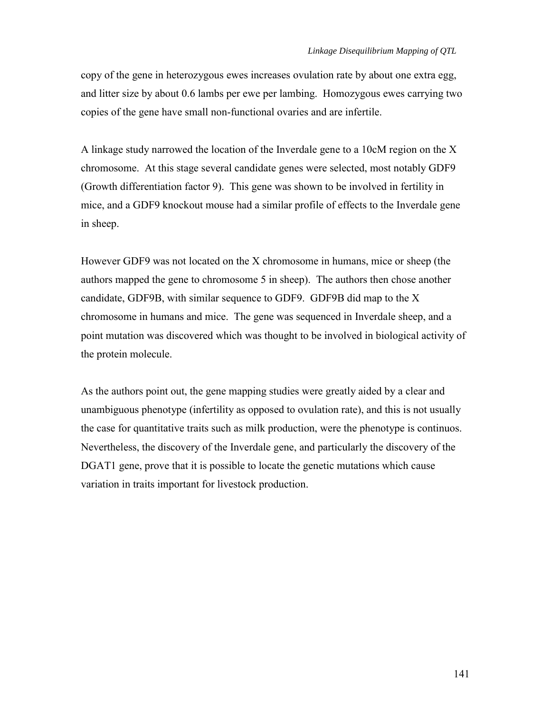copy of the gene in heterozygous ewes increases ovulation rate by about one extra egg, and litter size by about 0.6 lambs per ewe per lambing. Homozygous ewes carrying two copies of the gene have small non-functional ovaries and are infertile.

A linkage study narrowed the location of the Inverdale gene to a 10cM region on the X chromosome. At this stage several candidate genes were selected, most notably GDF9 (Growth differentiation factor 9). This gene was shown to be involved in fertility in mice, and a GDF9 knockout mouse had a similar profile of effects to the Inverdale gene in sheep.

However GDF9 was not located on the X chromosome in humans, mice or sheep (the authors mapped the gene to chromosome 5 in sheep). The authors then chose another candidate, GDF9B, with similar sequence to GDF9. GDF9B did map to the X chromosome in humans and mice. The gene was sequenced in Inverdale sheep, and a point mutation was discovered which was thought to be involved in biological activity of the protein molecule.

As the authors point out, the gene mapping studies were greatly aided by a clear and unambiguous phenotype (infertility as opposed to ovulation rate), and this is not usually the case for quantitative traits such as milk production, were the phenotype is continuos. Nevertheless, the discovery of the Inverdale gene, and particularly the discovery of the DGAT1 gene, prove that it is possible to locate the genetic mutations which cause variation in traits important for livestock production.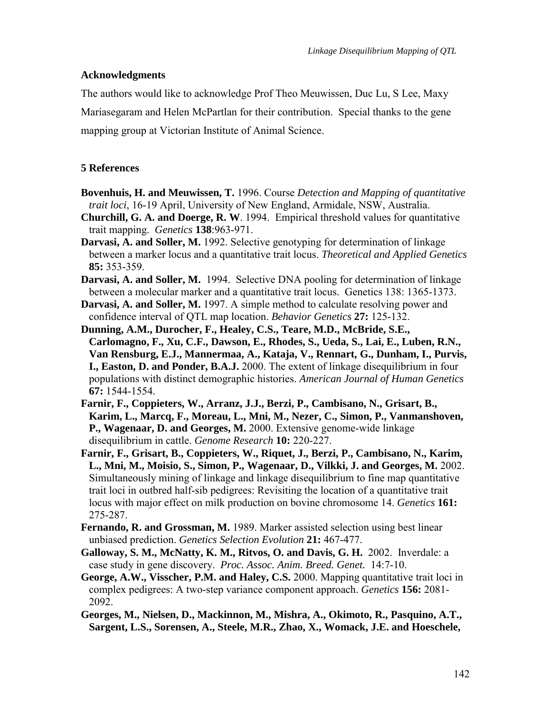# <span id="page-25-0"></span>**Acknowledgments**

The authors would like to acknowledge Prof Theo Meuwissen, Duc Lu, S Lee, Maxy Mariasegaram and Helen McPartlan for their contribution. Special thanks to the gene mapping group at Victorian Institute of Animal Science.

# **5 References**

- **Bovenhuis, H. and Meuwissen, T.** 1996. Course *Detection and Mapping of quantitative trait loci*, 16-19 April, University of New England, Armidale, NSW, Australia.
- **Churchill, G. A. and Doerge, R. W**. 1994. Empirical threshold values for quantitative trait mapping. *Genetics* **138**:963-971.
- **Darvasi, A. and Soller, M.** 1992. Selective genotyping for determination of linkage between a marker locus and a quantitative trait locus. *Theoretical and Applied Genetics* **85:** 353-359.
- **Darvasi, A. and Soller, M.** 1994. Selective DNA pooling for determination of linkage between a molecular marker and a quantitative trait locus. Genetics 138: 1365-1373.
- **Darvasi, A. and Soller, M.** 1997. A simple method to calculate resolving power and confidence interval of QTL map location. *Behavior Genetics* **27:** 125-132.
- **Dunning, A.M., Durocher, F., Healey, C.S., Teare, M.D., McBride, S.E., Carlomagno, F., Xu, C.F., Dawson, E., Rhodes, S., Ueda, S., Lai, E., Luben, R.N., Van Rensburg, E.J., Mannermaa, A., Kataja, V., Rennart, G., Dunham, I., Purvis, I., Easton, D. and Ponder, B.A.J.** 2000. The extent of linkage disequilibrium in four populations with distinct demographic histories. *American Journal of Human Genetics*  **67:** 1544-1554.
- **Farnir, F., Coppieters, W., Arranz, J.J., Berzi, P., Cambisano, N., Grisart, B., Karim, L., Marcq, F., Moreau, L., Mni, M., Nezer, C., Simon, P., Vanmanshoven, P., Wagenaar, D. and Georges, M.** 2000. Extensive genome-wide linkage disequilibrium in cattle. *Genome Research* **10:** 220-227.
- **Farnir, F., Grisart, B., Coppieters, W., Riquet, J., Berzi, P., Cambisano, N., Karim, L., Mni, M., Moisio, S., Simon, P., Wagenaar, D., Vilkki, J. and Georges, M.** 2002. Simultaneously mining of linkage and linkage disequilibrium to fine map quantitative trait loci in outbred half-sib pedigrees: Revisiting the location of a quantitative trait locus with major effect on milk production on bovine chromosome 14. *Genetics* **161:**  275-287.
- **Fernando, R. and Grossman, M.** 1989. Marker assisted selection using best linear unbiased prediction. *Genetics Selection Evolution* **21:** 467-477.
- **Galloway, S. M., McNatty, K. M., Ritvos, O. and Davis, G. H.** 2002. Inverdale: a case study in gene discovery. *Proc. Assoc. Anim. Breed. Genet.* 14:7-10.
- **George, A.W., Visscher, P.M. and Haley, C.S.** 2000. Mapping quantitative trait loci in complex pedigrees: A two-step variance component approach. *Genetics* **156:** 2081- 2092.
- **Georges, M., Nielsen, D., Mackinnon, M., Mishra, A., Okimoto, R., Pasquino, A.T., Sargent, L.S., Sorensen, A., Steele, M.R., Zhao, X., Womack, J.E. and Hoeschele,**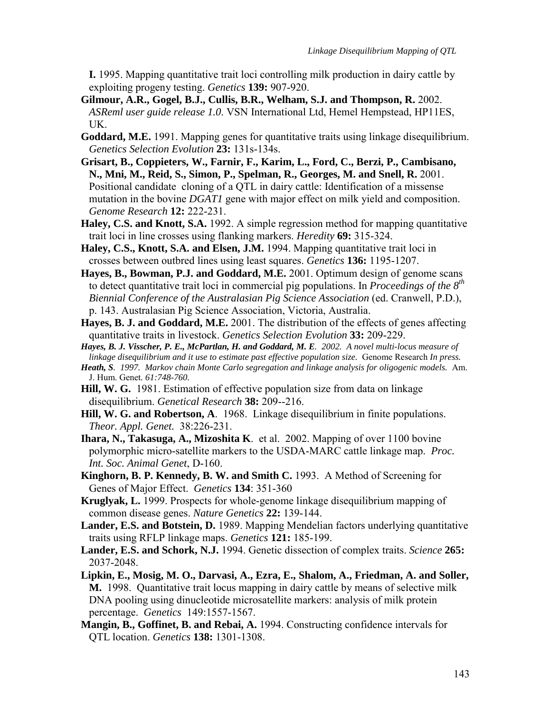**I.** 1995. Mapping quantitative trait loci controlling milk production in dairy cattle by exploiting progeny testing. *Genetics* **139:** 907-920.

- **Gilmour, A.R., Gogel, B.J., Cullis, B.R., Welham, S.J. and Thompson, R.** 2002. *ASReml user guide release 1.0*. VSN International Ltd, Hemel Hempstead, HP11ES, UK.
- **Goddard, M.E.** 1991. Mapping genes for quantitative traits using linkage disequilibrium. *Genetics Selection Evolution* **23:** 131s-134s.
- **Grisart, B., Coppieters, W., Farnir, F., Karim, L., Ford, C., Berzi, P., Cambisano, N., Mni, M., Reid, S., Simon, P., Spelman, R., Georges, M. and Snell, R.** 2001. Positional candidate cloning of a QTL in dairy cattle: Identification of a missense mutation in the bovine *DGAT1* gene with major effect on milk yield and composition. *Genome Research* **12:** 222-231.
- **Haley, C.S. and Knott, S.A.** 1992. A simple regression method for mapping quantitative trait loci in line crosses using flanking markers. *Heredity* **69:** 315-324.
- **Haley, C.S., Knott, S.A. and Elsen, J.M.** 1994. Mapping quantitative trait loci in crosses between outbred lines using least squares. *Genetics* **136:** 1195-1207.
- **Hayes, B., Bowman, P.J. and Goddard, M.E.** 2001. Optimum design of genome scans to detect quantitative trait loci in commercial pig populations. In *Proceedings of the 8th Biennial Conference of the Australasian Pig Science Association* (ed. Cranwell, P.D.), p. 143. Australasian Pig Science Association, Victoria, Australia.
- **Hayes, B. J. and Goddard, M.E.** 2001. The distribution of the effects of genes affecting quantitative traits in livestock. *Genetics Selection Evolution* **33:** 209-229.
- *Hayes, B. J. Visscher, P. E., McPartlan, H. and Goddard, M. E. 2002. A novel multi-locus measure of linkage disequilibrium and it use to estimate past effective population size.* Genome Research *In press.*
- *Heath, S. 1997. Markov chain Monte Carlo segregation and linkage analysis for oligogenic models.* Am. J. Hum. Genet*. 61:748-760.*
- **Hill, W. G.** 1981. Estimation of effective population size from data on linkage disequilibrium. *Genetical Research* **38:** 209--216.
- **Hill, W. G. and Robertson, A**. 1968. Linkage disequilibrium in finite populations. *Theor. Appl. Genet.* 38:226-231.
- **Ihara, N., Takasuga, A., Mizoshita K**. et al. 2002. Mapping of over 1100 bovine polymorphic micro-satellite markers to the USDA-MARC cattle linkage map. *Proc. Int. Soc. Animal Genet*, D-160.
- **Kinghorn, B. P. Kennedy, B. W. and Smith C.** 1993. A Method of Screening for Genes of Major Effect. *Genetics* **134**: 351-360
- **Kruglyak, L.** 1999. Prospects for whole-genome linkage disequilibrium mapping of common disease genes. *Nature Genetics* **22:** 139-144.
- **Lander, E.S. and Botstein, D.** 1989. Mapping Mendelian factors underlying quantitative traits using RFLP linkage maps. *Genetics* **121:** 185-199.
- **Lander, E.S. and Schork, N.J.** 1994. Genetic dissection of complex traits. *Science* **265:**  2037-2048.
- **Lipkin, E., Mosig, M. O., Darvasi, A., Ezra, E., Shalom, A., Friedman, A. and Soller, M.** 1998. Quantitative trait locus mapping in dairy cattle by means of selective milk DNA pooling using dinucleotide microsatellite markers: analysis of milk protein percentage. *Genetics* 149:1557-1567.
- **Mangin, B., Goffinet, B. and Rebai, A.** 1994. Constructing confidence intervals for QTL location. *Genetics* **138:** 1301-1308.